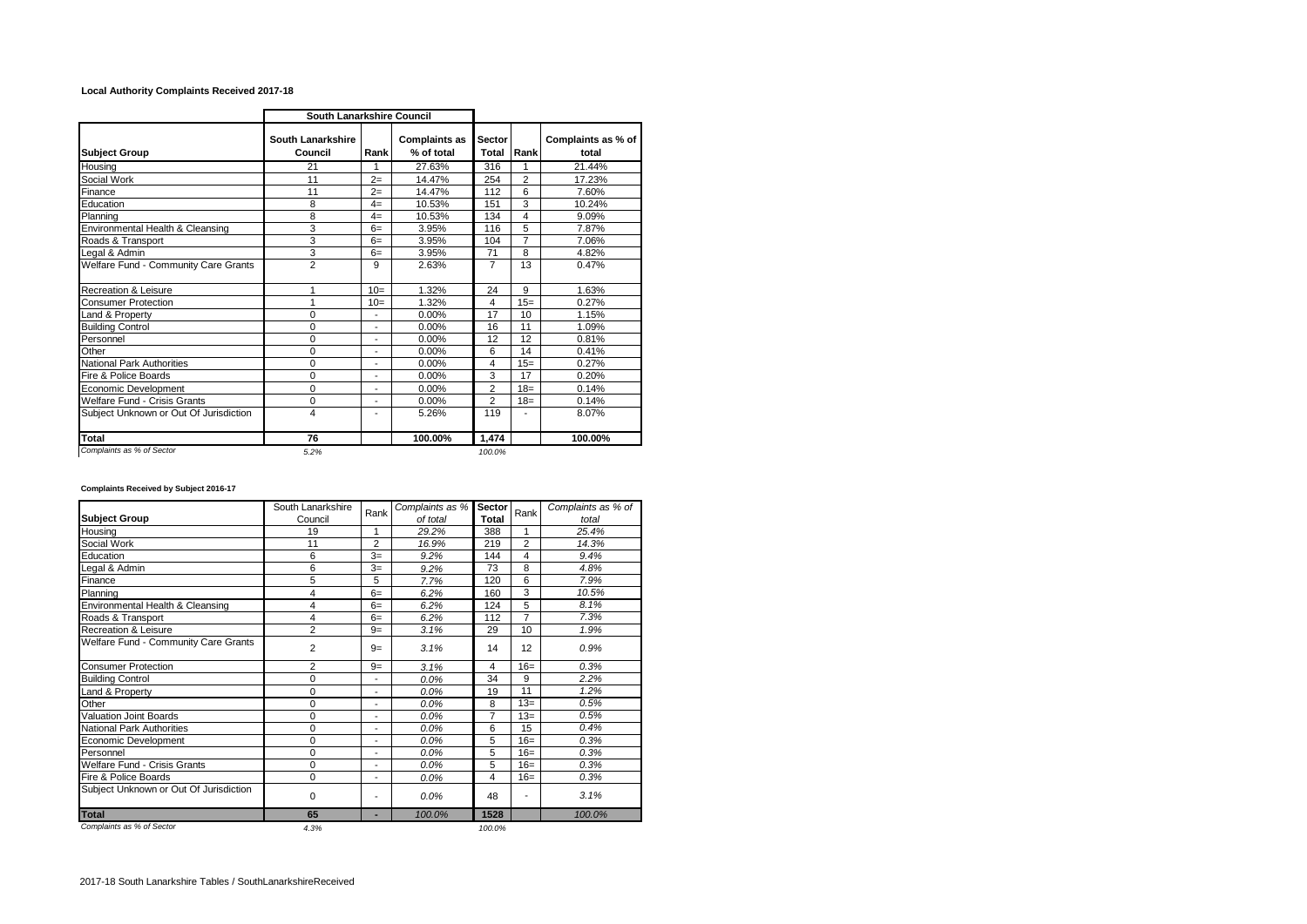## **Local Authority Complaints Received 2017-18**

|                                        | South Lanarkshire Council    |                |                                    |                 |                |                             |
|----------------------------------------|------------------------------|----------------|------------------------------------|-----------------|----------------|-----------------------------|
| <b>Subject Group</b>                   | South Lanarkshire<br>Council | Rank           | <b>Complaints as</b><br>% of total | Sector<br>Total | Rank           | Complaints as % of<br>total |
| Housing                                | 21                           | 1              | 27.63%                             | 316             | 1              | 21.44%                      |
| Social Work                            | 11                           | $2=$           | 14.47%                             | 254             | $\overline{2}$ | 17.23%                      |
| Finance                                | 11                           | $2=$           | 14.47%                             | 112             | 6              | 7.60%                       |
| Education                              | 8                            | $4=$           | 10.53%                             | 151             | 3              | 10.24%                      |
| Planning                               | 8                            | $4=$           | 10.53%                             | 134             | 4              | 9.09%                       |
| Environmental Health & Cleansing       | 3                            | $6=$           | 3.95%                              | 116             | 5              | 7.87%                       |
| Roads & Transport                      | 3                            | $6=$           | 3.95%                              | 104             | 7              | 7.06%                       |
| Legal & Admin                          | 3                            | $6=$           | 3.95%                              | 71              | 8              | 4.82%                       |
| Welfare Fund - Community Care Grants   | $\overline{2}$               | 9              | 2.63%                              | $\overline{7}$  | 13             | 0.47%                       |
| <b>Recreation &amp; Leisure</b>        | 1                            | $10=$          | 1.32%                              | 24              | 9              | 1.63%                       |
| <b>Consumer Protection</b>             | 1                            | $10=$          | 1.32%                              | 4               | $15=$          | 0.27%                       |
| Land & Property                        | $\Omega$                     | $\overline{a}$ | 0.00%                              | 17              | 10             | 1.15%                       |
| <b>Building Control</b>                | $\Omega$                     | ۰              | 0.00%                              | 16              | 11             | 1.09%                       |
| Personnel                              | 0                            | ٠              | 0.00%                              | 12              | 12             | 0.81%                       |
| Other                                  | 0                            | ٠              | 0.00%                              | 6               | 14             | 0.41%                       |
| <b>National Park Authorities</b>       | $\Omega$                     | $\overline{a}$ | 0.00%                              | 4               | $15=$          | 0.27%                       |
| Fire & Police Boards                   | 0                            | ۰              | 0.00%                              | 3               | 17             | 0.20%                       |
| Economic Development                   | 0                            | ٠              | 0.00%                              | $\overline{2}$  | $18 =$         | 0.14%                       |
| Welfare Fund - Crisis Grants           | 0                            | ۰              | 0.00%                              | $\overline{2}$  | $18 =$         | 0.14%                       |
| Subject Unknown or Out Of Jurisdiction | 4                            | ٠              | 5.26%                              | 119             |                | 8.07%                       |
| Total                                  | 76                           |                | 100.00%                            | 1,474           |                | 100.00%                     |
| Complaints as % of Sector              | 5.2%                         |                |                                    | 100.0%          |                |                             |

## **Complaints Received by Subject 2016-17**

|                                        | South Lanarkshire | Rank           | Complaints as % | Sector | Rank           | Complaints as % of |
|----------------------------------------|-------------------|----------------|-----------------|--------|----------------|--------------------|
| <b>Subject Group</b>                   | Council           |                | of total        | Total  |                | total              |
| Housing                                | 19                | 1              | 29.2%           | 388    | 1              | 25.4%              |
| Social Work                            | 11                | $\overline{2}$ | 16.9%           | 219    | $\overline{2}$ | 14.3%              |
| Education                              | 6                 | $3=$           | 9.2%            | 144    | 4              | 9.4%               |
| Legal & Admin                          | 6                 | $3=$           | 9.2%            | 73     | 8              | 4.8%               |
| Finance                                | 5                 | 5              | 7.7%            | 120    | 6              | 7.9%               |
| Planning                               | 4                 | $6=$           | 6.2%            | 160    | 3              | 10.5%              |
| Environmental Health & Cleansing       | 4                 | $6=$           | 6.2%            | 124    | 5              | 8.1%               |
| Roads & Transport                      | 4                 | $6=$           | 6.2%            | 112    | $\overline{7}$ | 7.3%               |
| Recreation & Leisure                   | $\overline{2}$    | $9=$           | 3.1%            | 29     | 10             | 1.9%               |
| Welfare Fund - Community Care Grants   | $\overline{2}$    | $9=$           | 3.1%            | 14     | 12             | 0.9%               |
| <b>Consumer Protection</b>             | 2                 | $9=$           | 3.1%            | 4      | $16=$          | 0.3%               |
| <b>Building Control</b>                | 0                 | ٠              | 0.0%            | 34     | 9              | 2.2%               |
| and & Property                         | 0                 | ٠              | 0.0%            | 19     | 11             | 1.2%               |
| Other                                  | $\mathbf 0$       | ۰              | 0.0%            | 8      | $13=$          | 0.5%               |
| <b>Valuation Joint Boards</b>          | 0                 | ۰              | 0.0%            | 7      | $13=$          | 0.5%               |
| <b>National Park Authorities</b>       | 0                 | ۰              | 0.0%            | 6      | 15             | 0.4%               |
| Economic Development                   | 0                 | ٠              | 0.0%            | 5      | $16=$          | 0.3%               |
| Personnel                              | 0                 | ۰              | 0.0%            | 5      | $16=$          | 0.3%               |
| Welfare Fund - Crisis Grants           | 0                 | ۰              | 0.0%            | 5      | $16=$          | 0.3%               |
| Fire & Police Boards                   | $\Omega$          | ٠              | 0.0%            | 4      | $16=$          | 0.3%               |
| Subject Unknown or Out Of Jurisdiction | 0                 | ۰              | 0.0%            | 48     |                | 3.1%               |
| <b>Total</b>                           | 65                | ٠              | 100.0%          | 1528   |                | 100.0%             |
| Complaints as % of Sector              | 4.3%              |                |                 | 100.0% |                |                    |